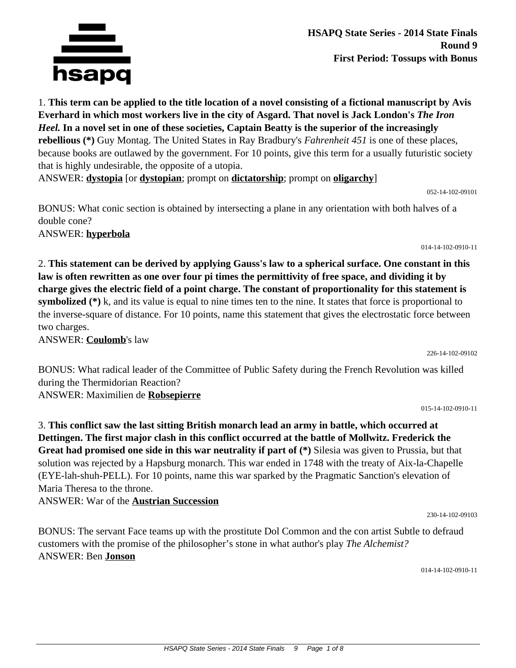

**HSAPQ State Series - 2014 State Finals Round 9 First Period: Tossups with Bonus**

1. **This term can be applied to the title location of a novel consisting of a fictional manuscript by Avis Everhard in which most workers live in the city of Asgard. That novel is Jack London's** *The Iron Heel.* **In a novel set in one of these societies, Captain Beatty is the superior of the increasingly rebellious (\*)** Guy Montag. The United States in Ray Bradbury's *Fahrenheit 451* is one of these places, because books are outlawed by the government. For 10 points, give this term for a usually futuristic society that is highly undesirable, the opposite of a utopia.

ANSWER: **dystopia** [or **dystopian**; prompt on **dictatorship**; prompt on **oligarchy**]

052-14-102-09101

BONUS: What conic section is obtained by intersecting a plane in any orientation with both halves of a double cone?

2. **This statement can be derived by applying Gauss's law to a spherical surface. One constant in this**

**law is often rewritten as one over four pi times the permittivity of free space, and dividing it by charge gives the electric field of a point charge. The constant of proportionality for this statement is symbolized** (\*) k, and its value is equal to nine times ten to the nine. It states that force is proportional to the inverse-square of distance. For 10 points, name this statement that gives the electrostatic force between

ANSWER: **hyperbola**

ANSWER: **Coulomb**'s law

two charges.

226-14-102-09102

BONUS: What radical leader of the Committee of Public Safety during the French Revolution was killed during the Thermidorian Reaction? ANSWER: Maximilien de **Robsepierre**

015-14-102-0910-11

3. **This conflict saw the last sitting British monarch lead an army in battle, which occurred at Dettingen. The first major clash in this conflict occurred at the battle of Mollwitz. Frederick the Great had promised one side in this war neutrality if part of (\*)** Silesia was given to Prussia, but that solution was rejected by a Hapsburg monarch. This war ended in 1748 with the treaty of Aix-la-Chapelle (EYE-lah-shuh-PELL). For 10 points, name this war sparked by the Pragmatic Sanction's elevation of Maria Theresa to the throne.

ANSWER: War of the **Austrian Succession**

BONUS: The servant Face teams up with the prostitute Dol Common and the con artist Subtle to defraud customers with the promise of the philosopher's stone in what author's play *The Alchemist?* ANSWER: Ben **Jonson**

014-14-102-0910-11

230-14-102-09103

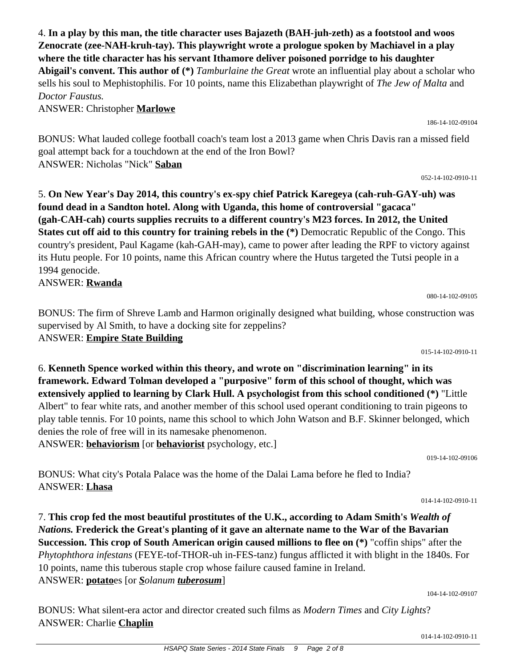4. **In a play by this man, the title character uses Bajazeth (BAH-juh-zeth) as a footstool and woos Zenocrate (zee-NAH-kruh-tay). This playwright wrote a prologue spoken by Machiavel in a play where the title character has his servant Ithamore deliver poisoned porridge to his daughter Abigail's convent. This author of (\*)** *Tamburlaine the Great* wrote an influential play about a scholar who sells his soul to Mephistophilis. For 10 points, name this Elizabethan playwright of *The Jew of Malta* and *Doctor Faustus.*

ANSWER: Christopher **Marlowe**

BONUS: What lauded college football coach's team lost a 2013 game when Chris Davis ran a missed field goal attempt back for a touchdown at the end of the Iron Bowl? ANSWER: Nicholas "Nick" **Saban**

052-14-102-0910-11

186-14-102-09104

## 5. **On New Year's Day 2014, this country's ex-spy chief Patrick Karegeya (cah-ruh-GAY-uh) was found dead in a Sandton hotel. Along with Uganda, this home of controversial "gacaca" (gah-CAH-cah) courts supplies recruits to a different country's M23 forces. In 2012, the United States cut off aid to this country for training rebels in the (\*)** Democratic Republic of the Congo. This country's president, Paul Kagame (kah-GAH-may), came to power after leading the RPF to victory against its Hutu people. For 10 points, name this African country where the Hutus targeted the Tutsi people in a 1994 genocide. ANSWER: **Rwanda**

BONUS: The firm of Shreve Lamb and Harmon originally designed what building, whose construction was supervised by Al Smith, to have a docking site for zeppelins? ANSWER: **Empire State Building**

015-14-102-0910-11

6. **Kenneth Spence worked within this theory, and wrote on "discrimination learning" in its framework. Edward Tolman developed a "purposive" form of this school of thought, which was extensively applied to learning by Clark Hull. A psychologist from this school conditioned (\*)** "Little Albert" to fear white rats, and another member of this school used operant conditioning to train pigeons to play table tennis. For 10 points, name this school to which John Watson and B.F. Skinner belonged, which denies the role of free will in its namesake phenomenon.

ANSWER: **behaviorism** [or **behaviorist** psychology, etc.]

BONUS: What city's Potala Palace was the home of the Dalai Lama before he fled to India? ANSWER: **Lhasa**

7. **This crop fed the most beautiful prostitutes of the U.K., according to Adam Smith's** *Wealth of Nations.* **Frederick the Great's planting of it gave an alternate name to the War of the Bavarian Succession. This crop of South American origin caused millions to flee on (\*)** "coffin ships" after the *Phytophthora infestans* (FEYE-tof-THOR-uh in-FES-tanz) fungus afflicted it with blight in the 1840s. For 10 points, name this tuberous staple crop whose failure caused famine in Ireland. ANSWER: **potato**es [or *Solanum tuberosum*]

104-14-102-09107

BONUS: What silent-era actor and director created such films as *Modern Times* and *City Lights*? ANSWER: Charlie **Chaplin**

080-14-102-09105

014-14-102-0910-11

019-14-102-09106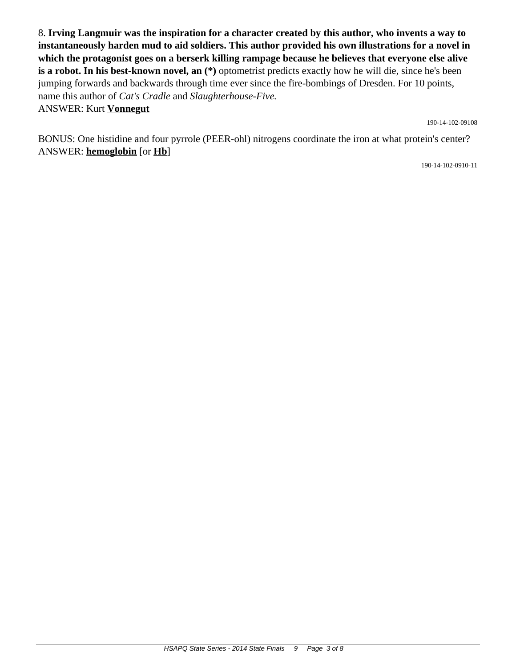8. **Irving Langmuir was the inspiration for a character created by this author, who invents a way to instantaneously harden mud to aid soldiers. This author provided his own illustrations for a novel in which the protagonist goes on a berserk killing rampage because he believes that everyone else alive is a robot. In his best-known novel, an (\*)** optometrist predicts exactly how he will die, since he's been jumping forwards and backwards through time ever since the fire-bombings of Dresden. For 10 points, name this author of *Cat's Cradle* and *Slaughterhouse-Five.* ANSWER: Kurt **Vonnegut**

190-14-102-09108

BONUS: One histidine and four pyrrole (PEER-ohl) nitrogens coordinate the iron at what protein's center? ANSWER: **hemoglobin** [or **Hb**]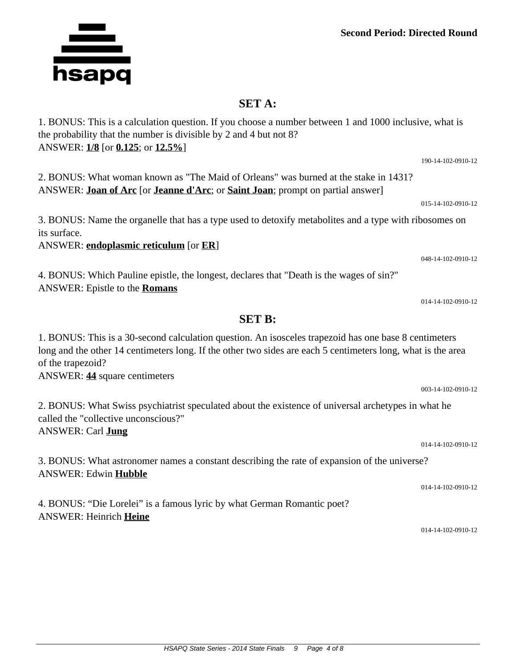## **SET A:**

1. BONUS: This is a calculation question. If you choose a number between 1 and 1000 inclusive, what is the probability that the number is divisible by 2 and 4 but not 8? ANSWER: **1/8** [or **0.125**; or **12.5%**]

ANSWER: **Joan of Arc** [or **Jeanne d'Arc**; or **Saint Joan**; prompt on partial answer]

3. BONUS: Name the organelle that has a type used to detoxify metabolites and a type with ribosomes on its surface.

ANSWER: **endoplasmic reticulum** [or **ER**]

4. BONUS: Which Pauline epistle, the longest, declares that "Death is the wages of sin?" ANSWER: Epistle to the **Romans**

1. BONUS: This is a 30-second calculation question. An isosceles trapezoid has one base 8 centimeters long and the other 14 centimeters long. If the other two sides are each 5 centimeters long, what is the area of the trapezoid? ANSWER: **44** square centimeters

**SET B:**

2. BONUS: What Swiss psychiatrist speculated about the existence of universal archetypes in what he called the "collective unconscious?" ANSWER: Carl **Jung**

3. BONUS: What astronomer names a constant describing the rate of expansion of the universe? ANSWER: Edwin **Hubble**

4. BONUS: "Die Lorelei" is a famous lyric by what German Romantic poet? ANSWER: Heinrich **Heine**

014-14-102-0910-12

190-14-102-0910-12 2. BONUS: What woman known as "The Maid of Orleans" was burned at the stake in 1431?

**NETTA**<br>hsapq



014-14-102-0910-12

003-14-102-0910-12

014-14-102-0910-12

014-14-102-0910-12

048-14-102-0910-12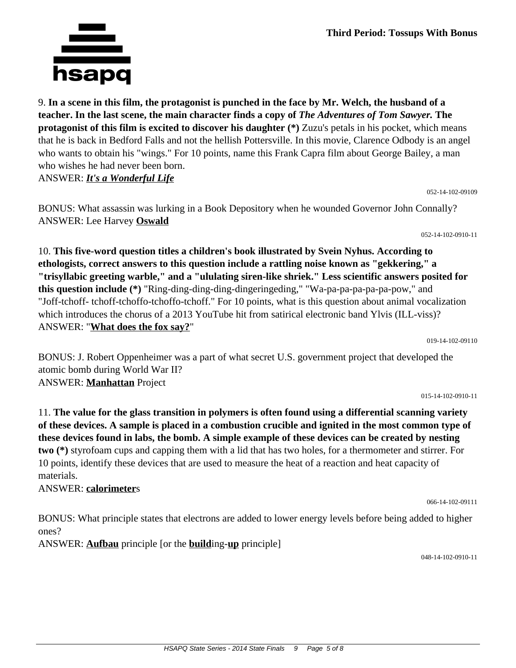9. **In a scene in this film, the protagonist is punched in the face by Mr. Welch, the husband of a teacher. In the last scene, the main character finds a copy of** *The Adventures of Tom Sawyer.* **The protagonist of this film is excited to discover his daughter (\*)** Zuzu's petals in his pocket, which means that he is back in Bedford Falls and not the hellish Pottersville. In this movie, Clarence Odbody is an angel who wants to obtain his "wings." For 10 points, name this Frank Capra film about George Bailey, a man who wishes he had never been born. ANSWER: *It's a Wonderful Life*

052-14-102-09109

BONUS: What assassin was lurking in a Book Depository when he wounded Governor John Connally? ANSWER: Lee Harvey **Oswald**

052-14-102-0910-11

10. **This five-word question titles a children's book illustrated by Svein Nyhus. According to ethologists, correct answers to this question include a rattling noise known as "gekkering," a "trisyllabic greeting warble," and a "ululating siren-like shriek." Less scientific answers posited for this question include (\*)** "Ring-ding-ding-ding-dingeringeding," "Wa-pa-pa-pa-pa-pa-pow," and "Joff-tchoff- tchoff-tchoffo-tchoffo-tchoff." For 10 points, what is this question about animal vocalization which introduces the chorus of a 2013 YouTube hit from satirical electronic band Ylvis (ILL-viss)? ANSWER: "**What does the fox say?**"

019-14-102-09110

BONUS: J. Robert Oppenheimer was a part of what secret U.S. government project that developed the atomic bomb during World War II? ANSWER: **Manhattan** Project

015-14-102-0910-11

11. **The value for the glass transition in polymers is often found using a differential scanning variety of these devices. A sample is placed in a combustion crucible and ignited in the most common type of these devices found in labs, the bomb. A simple example of these devices can be created by nesting two (\*)** styrofoam cups and capping them with a lid that has two holes, for a thermometer and stirrer. For 10 points, identify these devices that are used to measure the heat of a reaction and heat capacity of materials.

ANSWER: **calorimeter**s

BONUS: What principle states that electrons are added to lower energy levels before being added to higher ones?

ANSWER: **Aufbau** principle [or the **build**ing-**up** principle]

048-14-102-0910-11

066-14-102-09111

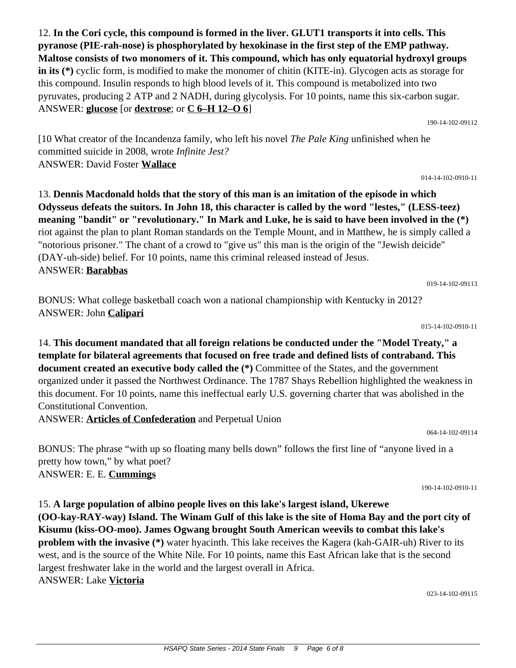12. **In the Cori cycle, this compound is formed in the liver. GLUT1 transports it into cells. This pyranose (PIE-rah-nose) is phosphorylated by hexokinase in the first step of the EMP pathway. Maltose consists of two monomers of it. This compound, which has only equatorial hydroxyl groups in its** (\*) cyclic form, is modified to make the monomer of chitin (KITE-in). Glycogen acts as storage for this compound. Insulin responds to high blood levels of it. This compound is metabolized into two pyruvates, producing 2 ATP and 2 NADH, during glycolysis. For 10 points, name this six-carbon sugar. ANSWER: **glucose** [or **dextrose**; or **C 6–H 12–O 6**]

[10 What creator of the Incandenza family, who left his novel *The Pale King* unfinished when he committed suicide in 2008, wrote *Infinite Jest?* ANSWER: David Foster **Wallace**

13. **Dennis Macdonald holds that the story of this man is an imitation of the episode in which Odysseus defeats the suitors. In John 18, this character is called by the word "lestes," (LESS-teez) meaning "bandit" or "revolutionary." In Mark and Luke, he is said to have been involved in the (\*)** riot against the plan to plant Roman standards on the Temple Mount, and in Matthew, he is simply called a "notorious prisoner." The chant of a crowd to "give us" this man is the origin of the "Jewish deicide" (DAY-uh-side) belief. For 10 points, name this criminal released instead of Jesus. ANSWER: **Barabbas**

BONUS: What college basketball coach won a national championship with Kentucky in 2012? ANSWER: John **Calipari**

14. **This document mandated that all foreign relations be conducted under the "Model Treaty," a template for bilateral agreements that focused on free trade and defined lists of contraband. This document created an executive body called the (\*)** Committee of the States, and the government organized under it passed the Northwest Ordinance. The 1787 Shays Rebellion highlighted the weakness in this document. For 10 points, name this ineffectual early U.S. governing charter that was abolished in the Constitutional Convention.

ANSWER: **Articles of Confederation** and Perpetual Union

BONUS: The phrase "with up so floating many bells down" follows the first line of "anyone lived in a pretty how town," by what poet? ANSWER: E. E. **Cummings**

15. **A large population of albino people lives on this lake's largest island, Ukerewe (OO-kay-RAY-way) Island. The Winam Gulf of this lake is the site of Homa Bay and the port city of Kisumu (kiss-OO-moo). James Ogwang brought South American weevils to combat this lake's problem with the invasive (\*)** water hyacinth. This lake receives the Kagera (kah-GAIR-uh) River to its west, and is the source of the White Nile. For 10 points, name this East African lake that is the second largest freshwater lake in the world and the largest overall in Africa. ANSWER: Lake **Victoria**

023-14-102-09115

015-14-102-0910-11

019-14-102-09113

014-14-102-0910-11

190-14-102-09112

064-14-102-09114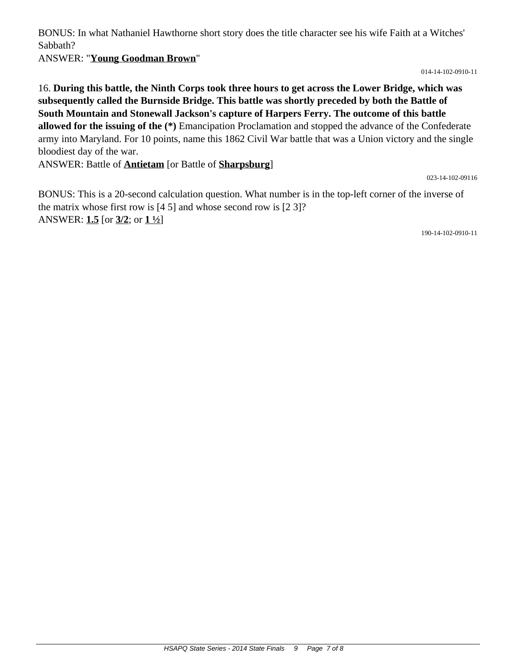BONUS: In what Nathaniel Hawthorne short story does the title character see his wife Faith at a Witches' Sabbath?

ANSWER: "**Young Goodman Brown**"

014-14-102-0910-11

16. **During this battle, the Ninth Corps took three hours to get across the Lower Bridge, which was subsequently called the Burnside Bridge. This battle was shortly preceded by both the Battle of South Mountain and Stonewall Jackson's capture of Harpers Ferry. The outcome of this battle allowed for the issuing of the (\*)** Emancipation Proclamation and stopped the advance of the Confederate army into Maryland. For 10 points, name this 1862 Civil War battle that was a Union victory and the single bloodiest day of the war.

ANSWER: Battle of **Antietam** [or Battle of **Sharpsburg**]

023-14-102-09116

BONUS: This is a 20-second calculation question. What number is in the top-left corner of the inverse of the matrix whose first row is [4 5] and whose second row is [2 3]? ANSWER: **1.5** [or **3/2**; or **1 ½**]